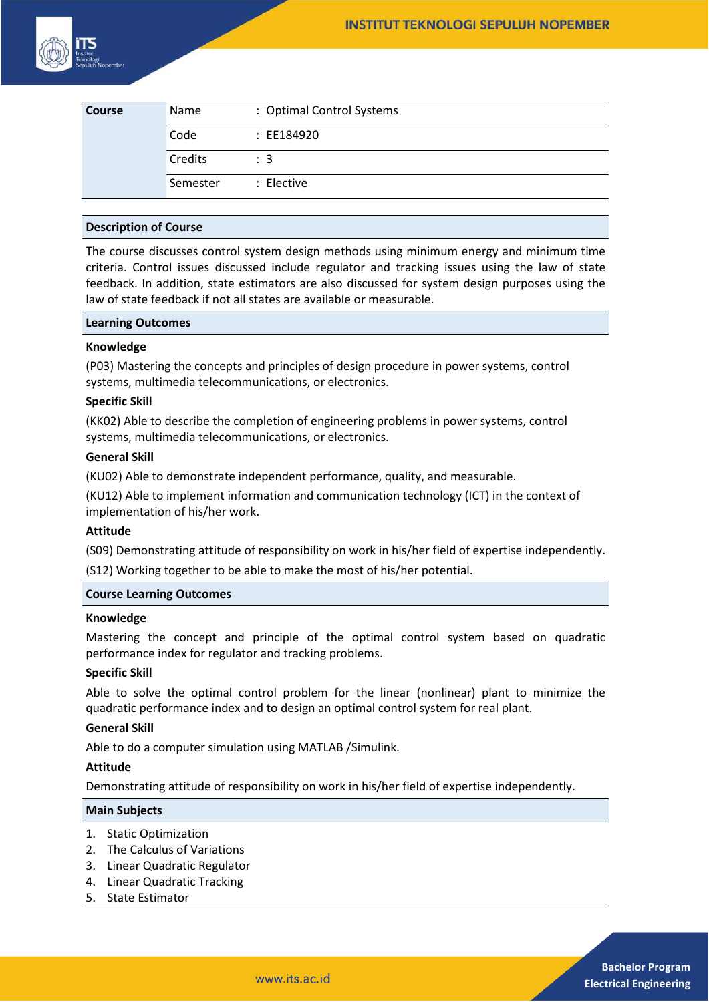

| Course | Name     | : Optimal Control Systems |
|--------|----------|---------------------------|
|        | Code     | : EE184920                |
|        | Credits  | $\therefore$ 3            |
|        | Semester | : Elective                |

## **Description of Course**

The course discusses control system design methods using minimum energy and minimum time criteria. Control issues discussed include regulator and tracking issues using the law of state feedback. In addition, state estimators are also discussed for system design purposes using the law of state feedback if not all states are available or measurable.

#### **Learning Outcomes**

#### **Knowledge**

(P03) Mastering the concepts and principles of design procedure in power systems, control systems, multimedia telecommunications, or electronics.

## **Specific Skill**

(KK02) Able to describe the completion of engineering problems in power systems, control systems, multimedia telecommunications, or electronics.

## **General Skill**

(KU02) Able to demonstrate independent performance, quality, and measurable.

(KU12) Able to implement information and communication technology (ICT) in the context of implementation of his/her work.

# **Attitude**

(S09) Demonstrating attitude of responsibility on work in his/her field of expertise independently. (S12) Working together to be able to make the most of his/her potential.

#### **Course Learning Outcomes**

# **Knowledge**

Mastering the concept and principle of the optimal control system based on quadratic performance index for regulator and tracking problems.

# **Specific Skill**

Able to solve the optimal control problem for the linear (nonlinear) plant to minimize the quadratic performance index and to design an optimal control system for real plant.

# **General Skill**

Able to do a computer simulation using MATLAB /Simulink.

# **Attitude**

Demonstrating attitude of responsibility on work in his/her field of expertise independently.

#### **Main Subjects**

- 1. Static Optimization
- 2. The Calculus of Variations
- 3. Linear Quadratic Regulator
- 4. Linear Quadratic Tracking
- 5. State Estimator